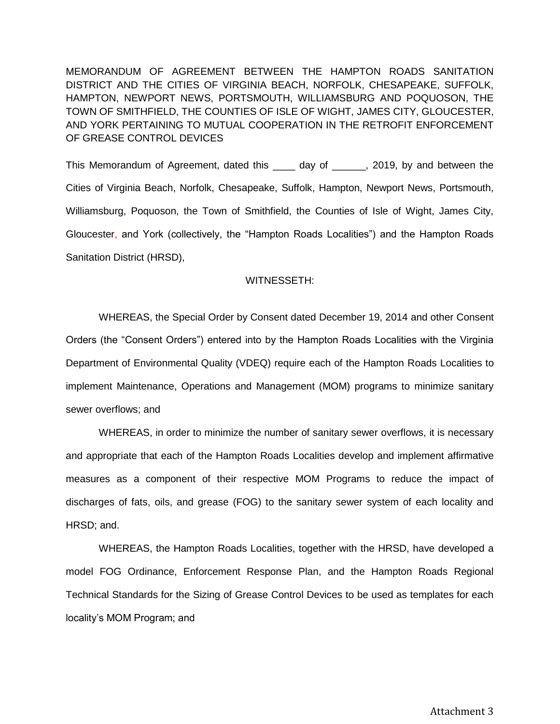MEMORANDUM OF AGREEMENT BETWEEN THE HAMPTON ROADS SANITATION DISTRICT AND THE CITIES OF VIRGINIA BEACH, NORFOLK, CHESAPEAKE, SUFFOLK, HAMPTON, NEWPORT NEWS, PORTSMOUTH, WILLIAMSBURG AND POQUOSON, THE TOWN OF SMITHFIELD, THE COUNTIES OF ISLE OF WIGHT, JAMES CITY, GLOUCESTER, AND YORK PERTAINING TO MUTUAL COOPERATION IN THE RETROFIT ENFORCEMENT OF GREASE CONTROL DEVICES

This Memorandum of Agreement, dated this \_\_\_\_ day of \_\_\_\_\_, 2019, by and between the Cities of Virginia Beach, Norfolk, Chesapeake, Suffolk, Hampton, Newport News, Portsmouth, Williamsburg, Poquoson, the Town of Smithfield, the Counties of Isle of Wight, James City, Gloucester, and York (collectively, the "Hampton Roads Localities") and the Hampton Roads Sanitation District (HRSD),

## WITNESSETH:

WHEREAS, the Special Order by Consent dated December 19, 2014 and other Consent Orders (the "Consent Orders") entered into by the Hampton Roads Localities with the Virginia Department of Environmental Quality (VDEQ) require each of the Hampton Roads Localities to implement Maintenance, Operations and Management (MOM) programs to minimize sanitary sewer overflows; and

WHEREAS, in order to minimize the number of sanitary sewer overflows, it is necessary and appropriate that each of the Hampton Roads Localities develop and implement affirmative measures as a component of their respective MOM Programs to reduce the impact of discharges of fats, oils, and grease (FOG) to the sanitary sewer system of each locality and HRSD; and.

WHEREAS, the Hampton Roads Localities, together with the HRSD, have developed a model FOG Ordinance, Enforcement Response Plan, and the Hampton Roads Regional Technical Standards for the Sizing of Grease Control Devices to be used as templates for each locality's MOM Program; and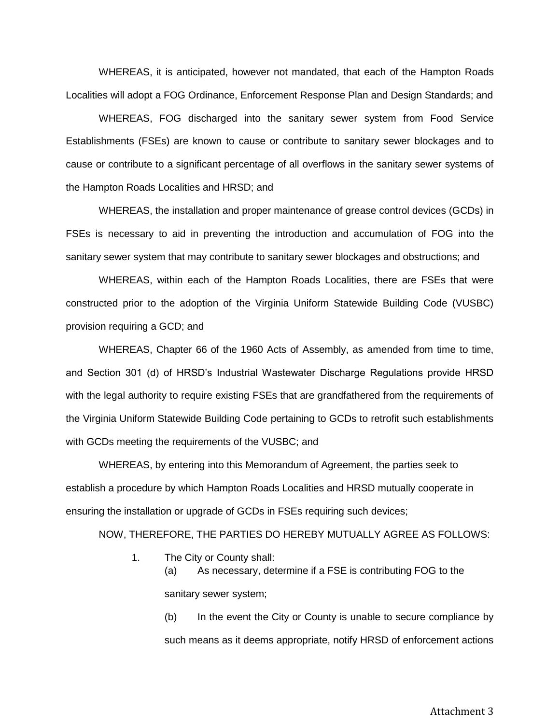WHEREAS, it is anticipated, however not mandated, that each of the Hampton Roads Localities will adopt a FOG Ordinance, Enforcement Response Plan and Design Standards; and

 WHEREAS, FOG discharged into the sanitary sewer system from Food Service Establishments (FSEs) are known to cause or contribute to sanitary sewer blockages and to cause or contribute to a significant percentage of all overflows in the sanitary sewer systems of the Hampton Roads Localities and HRSD; and

 WHEREAS, the installation and proper maintenance of grease control devices (GCDs) in FSEs is necessary to aid in preventing the introduction and accumulation of FOG into the sanitary sewer system that may contribute to sanitary sewer blockages and obstructions; and

 WHEREAS, within each of the Hampton Roads Localities, there are FSEs that were constructed prior to the adoption of the Virginia Uniform Statewide Building Code (VUSBC) provision requiring a GCD; and

WHEREAS, Chapter 66 of the 1960 Acts of Assembly, as amended from time to time, and Section 301 (d) of HRSD's Industrial Wastewater Discharge Regulations provide HRSD with the legal authority to require existing FSEs that are grandfathered from the requirements of the Virginia Uniform Statewide Building Code pertaining to GCDs to retrofit such establishments with GCDs meeting the requirements of the VUSBC; and

 WHEREAS, by entering into this Memorandum of Agreement, the parties seek to establish a procedure by which Hampton Roads Localities and HRSD mutually cooperate in ensuring the installation or upgrade of GCDs in FSEs requiring such devices;

NOW, THEREFORE, THE PARTIES DO HEREBY MUTUALLY AGREE AS FOLLOWS:

1. The City or County shall:

(a) As necessary, determine if a FSE is contributing FOG to the sanitary sewer system;

(b) In the event the City or County is unable to secure compliance by such means as it deems appropriate, notify HRSD of enforcement actions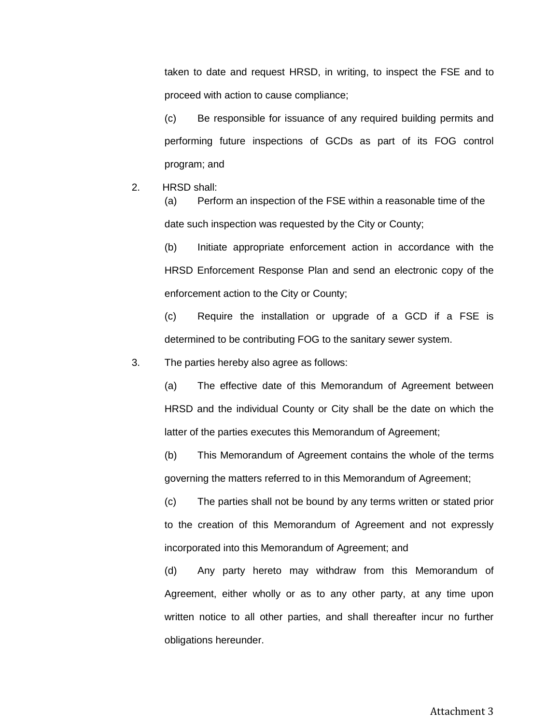taken to date and request HRSD, in writing, to inspect the FSE and to proceed with action to cause compliance;

(c) Be responsible for issuance of any required building permits and performing future inspections of GCDs as part of its FOG control program; and

2. HRSD shall:

(a) Perform an inspection of the FSE within a reasonable time of the date such inspection was requested by the City or County;

(b) Initiate appropriate enforcement action in accordance with the HRSD Enforcement Response Plan and send an electronic copy of the enforcement action to the City or County;

(c) Require the installation or upgrade of a GCD if a FSE is determined to be contributing FOG to the sanitary sewer system.

3. The parties hereby also agree as follows:

(a) The effective date of this Memorandum of Agreement between HRSD and the individual County or City shall be the date on which the latter of the parties executes this Memorandum of Agreement;

(b) This Memorandum of Agreement contains the whole of the terms governing the matters referred to in this Memorandum of Agreement;

(c) The parties shall not be bound by any terms written or stated prior to the creation of this Memorandum of Agreement and not expressly incorporated into this Memorandum of Agreement; and

(d) Any party hereto may withdraw from this Memorandum of Agreement, either wholly or as to any other party, at any time upon written notice to all other parties, and shall thereafter incur no further obligations hereunder.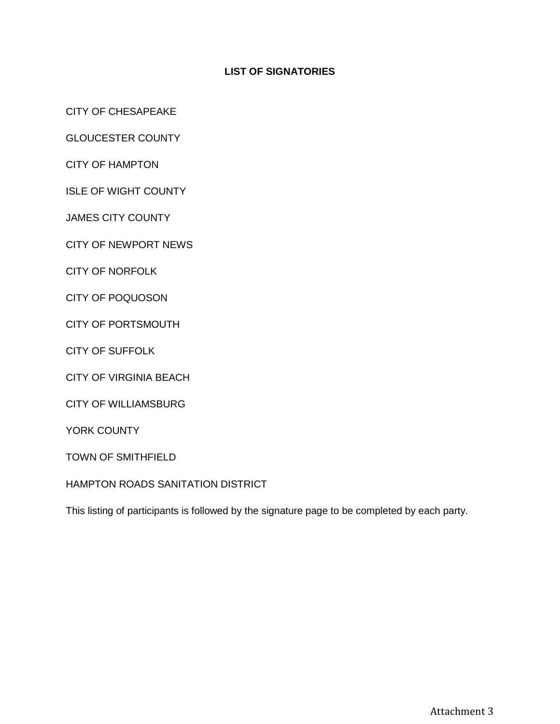## **LIST OF SIGNATORIES**

CITY OF CHESAPEAKE

GLOUCESTER COUNTY

CITY OF HAMPTON

ISLE OF WIGHT COUNTY

JAMES CITY COUNTY

CITY OF NEWPORT NEWS

CITY OF NORFOLK

CITY OF POQUOSON

CITY OF PORTSMOUTH

CITY OF SUFFOLK

CITY OF VIRGINIA BEACH

CITY OF WILLIAMSBURG

YORK COUNTY

TOWN OF SMITHFIELD

HAMPTON ROADS SANITATION DISTRICT

This listing of participants is followed by the signature page to be completed by each party.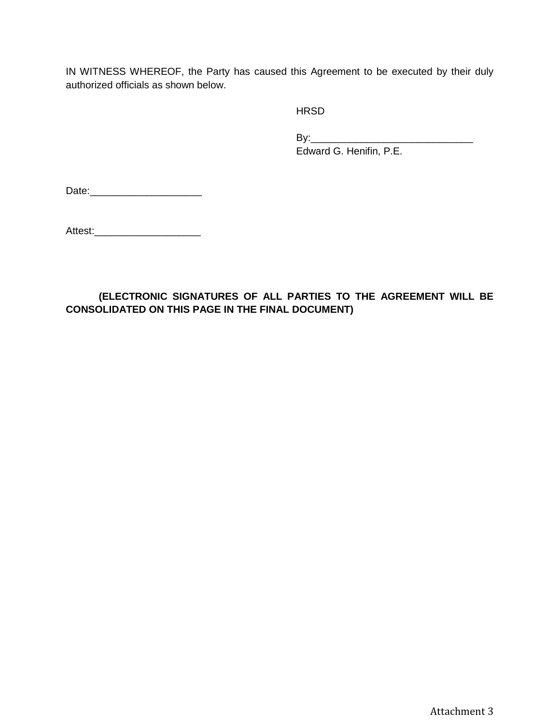IN WITNESS WHEREOF, the Party has caused this Agreement to be executed by their duly authorized officials as shown below.

**HRSD** 

By:\_\_\_\_\_\_\_\_\_\_\_\_\_\_\_\_\_\_\_\_\_\_\_\_\_\_\_\_\_ Edward G. Henifin, P.E.

Date:\_\_\_\_\_\_\_\_\_\_\_\_\_\_\_\_\_\_\_\_

Attest:\_\_\_\_\_\_\_\_\_\_\_\_\_\_\_\_\_\_\_

## **(ELECTRONIC SIGNATURES OF ALL PARTIES TO THE AGREEMENT WILL BE CONSOLIDATED ON THIS PAGE IN THE FINAL DOCUMENT)**